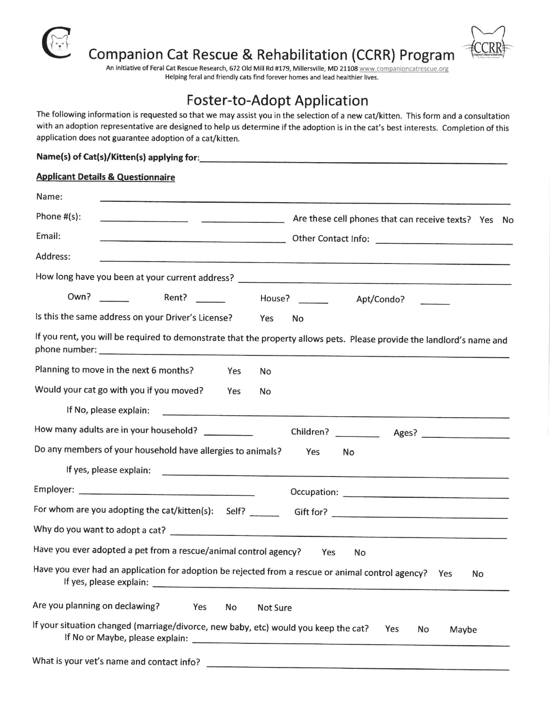

Companion Cat Rescue & Rehabilitation (CCRR) Program

An initiative of Feral Cat Rescue Research, 672 Old Mill Rd #179, Millersville, MD 21108 www.companioncatrescue.org Helping feral and friendly cats find forever homes and lead healthier lives.

## Foster-to-Adopt Application

The following information is requested so that we may assist you in the selection of a new cat/kitten. This form and a consultation with an adoption representative are designed to help us determine if the adoption is in the cat's best interests. Completion of this application does not guarantee adoption of a cat/kitten.

## Name(s) of Cat(s)/Kitten(s) applying for:

| <b>Applicant Details &amp; Questionnaire</b>                                                                           |
|------------------------------------------------------------------------------------------------------------------------|
| Name:                                                                                                                  |
| Phone $#(s)$ :<br>Are these cell phones that can receive texts? Yes No                                                 |
| Email:                                                                                                                 |
| Address:                                                                                                               |
|                                                                                                                        |
| Own?<br>Apt/Condo?                                                                                                     |
| Is this the same address on your Driver's License? Yes<br>No                                                           |
| If you rent, you will be required to demonstrate that the property allows pets. Please provide the landlord's name and |
| Planning to move in the next 6 months?<br>Yes<br>No                                                                    |
| Would your cat go with you if you moved?<br>Yes<br>No                                                                  |
|                                                                                                                        |
| How many adults are in your household?                                                                                 |
| Do any members of your household have allergies to animals?<br>Yes<br>No                                               |
|                                                                                                                        |
|                                                                                                                        |
|                                                                                                                        |
|                                                                                                                        |
| Have you ever adopted a pet from a rescue/animal control agency?<br>Yes<br>No                                          |
| Have you ever had an application for adoption be rejected from a rescue or animal control agency?   Yes<br>No          |
| Are you planning on declawing?<br><b>Yes</b><br>No.<br>Not Sure                                                        |

lf your situation changed (marriage/divorce, new baby, etc) would you keep the cat? lf No or Maybe, please explain: Yes No Maybe

What is your vet's name and contact info?